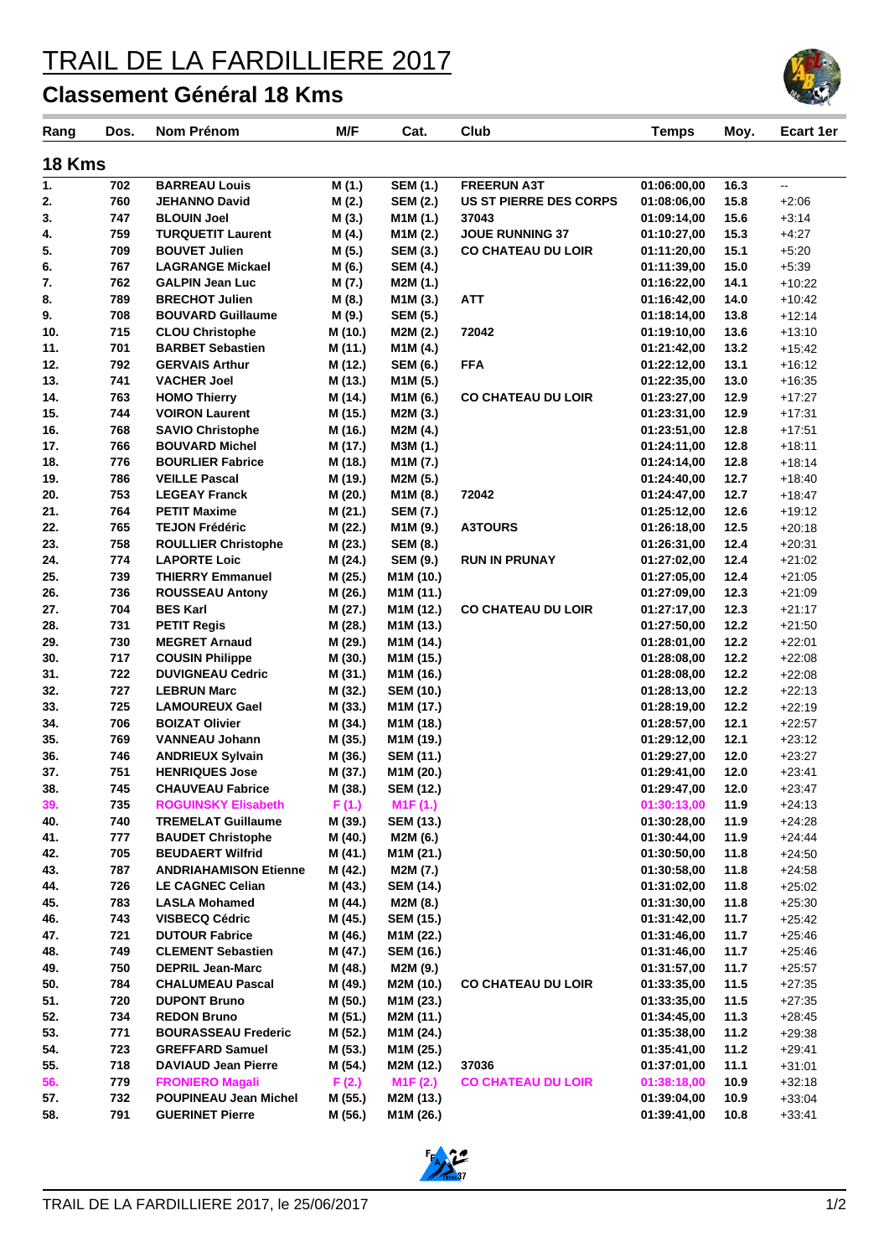## TRAIL DE LA FARDILLIERE 2017

## **Classement Général 18 Kms**

| Rang       | Dos.       | Nom Prénom                                            | M/F                | Cat.                               | Club                          | Temps                      | Moy.         | Ecart 1er            |  |  |  |  |
|------------|------------|-------------------------------------------------------|--------------------|------------------------------------|-------------------------------|----------------------------|--------------|----------------------|--|--|--|--|
|            |            |                                                       |                    |                                    |                               |                            |              |                      |  |  |  |  |
| 18 Kms     |            |                                                       |                    |                                    |                               |                            |              |                      |  |  |  |  |
| 1.         | 702        | <b>BARREAU Louis</b>                                  | M (1.)             | <b>SEM (1.)</b>                    | <b>FREERUN A3T</b>            | 01:06:00,00                | 16.3         | Щ.                   |  |  |  |  |
| 2.         | 760        | <b>JEHANNO David</b>                                  | M(2.)              | <b>SEM (2.)</b>                    | <b>US ST PIERRE DES CORPS</b> | 01:08:06,00                | 15.8         | $+2:06$              |  |  |  |  |
| 3.         | 747        | <b>BLOUIN Joel</b>                                    | M(3.)              | M1M (1.)                           | 37043                         | 01:09:14.00                | 15.6         | $+3:14$              |  |  |  |  |
| 4.         | 759        | <b>TURQUETIT Laurent</b>                              | M(4.)              | M1M (2.)                           | <b>JOUE RUNNING 37</b>        | 01:10:27,00                | 15.3         | $+4:27$              |  |  |  |  |
| 5.         | 709        | <b>BOUVET Julien</b>                                  | M (5.)             | <b>SEM (3.)</b>                    | <b>CO CHATEAU DU LOIR</b>     | 01:11:20,00                | 15.1         | $+5:20$              |  |  |  |  |
| 6.         | 767        | <b>LAGRANGE Mickael</b>                               | M (6.)             | <b>SEM (4.)</b>                    |                               | 01:11:39,00                | 15.0         | $+5:39$              |  |  |  |  |
| 7.         | 762        | <b>GALPIN Jean Luc</b>                                | M (7.)             | M2M (1.)                           |                               | 01:16:22,00                | 14.1         | $+10:22$             |  |  |  |  |
| 8.         | 789        | <b>BRECHOT Julien</b>                                 | M (8.)             | M <sub>1</sub> M <sub>(3.)</sub>   | <b>ATT</b>                    | 01:16:42,00                | 14.0         | $+10:42$             |  |  |  |  |
| 9.         | 708        | <b>BOUVARD Guillaume</b>                              | M (9.)             | <b>SEM (5.)</b>                    |                               | 01:18:14.00                | 13.8         | $+12:14$             |  |  |  |  |
| 10.<br>11. | 715<br>701 | <b>CLOU Christophe</b><br><b>BARBET Sebastien</b>     | M (10.)            | M2M (2.)                           | 72042                         | 01:19:10,00<br>01:21:42,00 | 13.6<br>13.2 | $+13:10$<br>$+15:42$ |  |  |  |  |
| 12.        | 792        | <b>GERVAIS Arthur</b>                                 | M (11.)<br>M (12.) | M1M (4.)<br><b>SEM (6.)</b>        | <b>FFA</b>                    | 01:22:12,00                | 13.1         | $+16:12$             |  |  |  |  |
| 13.        | 741        | <b>VACHER Joel</b>                                    | M (13.)            | M <sub>1</sub> M <sub>(5.)</sub>   |                               | 01:22:35,00                | 13.0         | $+16:35$             |  |  |  |  |
| 14.        | 763        | <b>HOMO Thierry</b>                                   | M (14.)            | M <sub>1</sub> M <sub>(6.)</sub>   | <b>CO CHATEAU DU LOIR</b>     | 01:23:27,00                | 12.9         | $+17:27$             |  |  |  |  |
| 15.        | 744        | <b>VOIRON Laurent</b>                                 | M (15.)            | M2M (3.)                           |                               | 01:23:31,00                | 12.9         | $+17:31$             |  |  |  |  |
| 16.        | 768        | <b>SAVIO Christophe</b>                               | M (16.)            | M2M (4.)                           |                               | 01:23:51,00                | 12.8         | $+17:51$             |  |  |  |  |
| 17.        | 766        | <b>BOUVARD Michel</b>                                 | M (17.)            | M3M (1.)                           |                               | 01:24:11,00                | 12.8         | $+18:11$             |  |  |  |  |
| 18.        | 776        | <b>BOURLIER Fabrice</b>                               | M (18.)            | M1M (7.)                           |                               | 01:24:14,00                | 12.8         | $+18:14$             |  |  |  |  |
| 19.        | 786        | <b>VEILLE Pascal</b>                                  | M (19.)            | M2M (5.)                           |                               | 01:24:40,00                | 12.7         | $+18.40$             |  |  |  |  |
| 20.        | 753        | <b>LEGEAY Franck</b>                                  | M (20.)            | M <sub>1</sub> M <sub>(8.)</sub>   | 72042                         | 01:24:47.00                | 12.7         | $+18:47$             |  |  |  |  |
| 21.        | 764        | <b>PETIT Maxime</b>                                   | M (21.)            | <b>SEM (7.)</b>                    |                               | 01:25:12,00                | 12.6         | $+19:12$             |  |  |  |  |
| 22.        | 765        | <b>TEJON Frédéric</b>                                 | M (22.)            | M1M (9.)                           | <b>A3TOURS</b>                | 01:26:18,00                | 12.5         | $+20:18$             |  |  |  |  |
| 23.        | 758        | <b>ROULLIER Christophe</b>                            | M (23.)            | <b>SEM (8.)</b>                    |                               | 01:26:31,00                | 12.4         | $+20.31$             |  |  |  |  |
| 24.        | 774        | <b>LAPORTE Loic</b>                                   | M (24.)            | <b>SEM (9.)</b>                    | <b>RUN IN PRUNAY</b>          | 01:27:02,00                | 12.4         | $+21:02$             |  |  |  |  |
| 25.        | 739        | <b>THIERRY Emmanuel</b>                               | M (25.)            | M1M (10.)                          |                               | 01:27:05,00                | 12.4         | $+21:05$             |  |  |  |  |
| 26.        | 736        | <b>ROUSSEAU Antony</b>                                | M (26.)            | M1M (11.)                          |                               | 01:27:09,00                | 12.3         | $+21:09$             |  |  |  |  |
| 27.        | 704        | <b>BES Karl</b>                                       | M (27.)            | M1M (12.)                          | <b>CO CHATEAU DU LOIR</b>     | 01:27:17,00                | 12.3         | $+21:17$             |  |  |  |  |
| 28.        | 731        | <b>PETIT Regis</b>                                    | M (28.)            | M1M (13.)                          |                               | 01:27:50,00                | 12.2         | $+21:50$             |  |  |  |  |
| 29.        | 730        | <b>MEGRET Arnaud</b>                                  | M (29.)            | M1M (14.)                          |                               | 01:28:01,00                | 12.2         | $+22:01$             |  |  |  |  |
| 30.        | 717        | <b>COUSIN Philippe</b>                                | M (30.)            | M1M (15.)                          |                               | 01:28:08,00                | 12.2         | $+22:08$             |  |  |  |  |
| 31.        | 722        | <b>DUVIGNEAU Cedric</b>                               | M (31.)            | M1M (16.)                          |                               | 01:28:08,00                | 12.2         | $+22:08$             |  |  |  |  |
| 32.        | 727        | <b>LEBRUN Marc</b>                                    | M (32.)            | <b>SEM (10.)</b>                   |                               | 01:28:13,00                | 12.2         | $+22:13$             |  |  |  |  |
| 33.        | 725        | <b>LAMOUREUX Gael</b>                                 | M (33.)            | M <sub>1</sub> M (17.)             |                               | 01:28:19,00                | 12.2         | $+22:19$             |  |  |  |  |
| 34.        | 706        | <b>BOIZAT Olivier</b>                                 | M (34.)            | M1M (18.)                          |                               | 01:28:57,00                | 12.1         | $+22:57$             |  |  |  |  |
| 35.        | 769        | <b>VANNEAU Johann</b>                                 | M (35.)            | M1M (19.)                          |                               | 01:29:12,00                | 12.1         | $+23:12$             |  |  |  |  |
| 36.        | 746        | <b>ANDRIEUX Sylvain</b>                               | M (36.)            | <b>SEM (11.)</b>                   |                               | 01:29:27,00                | 12.0         | $+23:27$             |  |  |  |  |
| 37.        | 751        | <b>HENRIQUES Jose</b>                                 | M (37.)            | M1M (20.)                          |                               | 01:29:41,00                | 12.0         | $+23.41$             |  |  |  |  |
| 38.        | 745        | <b>CHAUVEAU Fabrice</b>                               | M (38.)            | <b>SEM (12.)</b>                   |                               | 01:29:47.00                | 12.0         | $+23:47$             |  |  |  |  |
| 39.        | 735        | <b>ROGUINSKY Elisabeth</b>                            | F(1.)              | M <sub>1</sub> F(1.)               |                               | 01:30:13.00                | 11.9         | $+24:13$             |  |  |  |  |
| 40.<br>41. | 740<br>777 | <b>TREMELAT Guillaume</b><br><b>BAUDET Christophe</b> | M (39.)<br>M (40.) | <b>SEM (13.)</b>                   |                               | 01:30:28,00<br>01:30:44,00 | 11.9<br>11.9 | $+24:28$<br>$+24.44$ |  |  |  |  |
| 42.        | 705        | <b>BEUDAERT Wilfrid</b>                               | M (41.)            | M2M (6.)<br>M <sub>1</sub> M (21.) |                               | 01:30:50,00                | 11.8         | $+24:50$             |  |  |  |  |
| 43.        | 787        | <b>ANDRIAHAMISON Etienne</b>                          | M (42.)            | M2M (7.)                           |                               | 01:30:58,00                | 11.8         | $+24:58$             |  |  |  |  |
| 44.        | 726        | <b>LE CAGNEC Celian</b>                               | M (43.)            | <b>SEM (14.)</b>                   |                               | 01:31:02,00                | 11.8         | $+25:02$             |  |  |  |  |
| 45.        | 783        | <b>LASLA Mohamed</b>                                  | M (44.)            | M2M (8.)                           |                               | 01:31:30,00                | 11.8         | $+25:30$             |  |  |  |  |
| 46.        | 743        | <b>VISBECQ Cédric</b>                                 | M (45.)            | <b>SEM (15.)</b>                   |                               | 01:31:42,00                | 11.7         | $+25:42$             |  |  |  |  |
| 47.        | 721        | <b>DUTOUR Fabrice</b>                                 | M (46.)            | M1M (22.)                          |                               | 01:31:46.00                | 11.7         | $+25.46$             |  |  |  |  |
| 48.        | 749        | <b>CLEMENT Sebastien</b>                              | M (47.)            | <b>SEM (16.)</b>                   |                               | 01:31:46,00                | 11.7         | $+25.46$             |  |  |  |  |
| 49.        | 750        | <b>DEPRIL Jean-Marc</b>                               | M (48.)            | M2M (9.)                           |                               | 01:31:57,00                | 11.7         | $+25:57$             |  |  |  |  |
| 50.        | 784        | <b>CHALUMEAU Pascal</b>                               | M (49.)            | M2M (10.)                          | <b>CO CHATEAU DU LOIR</b>     | 01:33:35.00                | 11.5         | $+27:35$             |  |  |  |  |
| 51.        | 720        | <b>DUPONT Bruno</b>                                   | M (50.)            | M <sub>1</sub> M (23.)             |                               | 01:33:35,00                | 11.5         | $+27:35$             |  |  |  |  |
| 52.        | 734        | <b>REDON Bruno</b>                                    | M(51.)             | M2M (11.)                          |                               | 01:34:45,00                | 11.3         | $+28:45$             |  |  |  |  |
| 53.        | 771        | <b>BOURASSEAU Frederic</b>                            | M (52.)            | M1M (24.)                          |                               | 01:35:38,00                | 11.2         | $+29:38$             |  |  |  |  |
| 54.        | 723        | <b>GREFFARD Samuel</b>                                | M (53.)            | M1M (25.)                          |                               | 01:35:41,00                | 11.2         | $+29.41$             |  |  |  |  |
| 55.        | 718        | <b>DAVIAUD Jean Pierre</b>                            | M (54.)            | M2M (12.)                          | 37036                         | 01:37:01,00                | 11.1         | $+31:01$             |  |  |  |  |
| 56.        | 779        | <b>FRONIERO Magali</b>                                | F(2.)              | M1F(2.)                            | <b>CO CHATEAU DU LOIR</b>     | 01:38:18,00                | 10.9         | $+32:18$             |  |  |  |  |
| 57.        | 732        | <b>POUPINEAU Jean Michel</b>                          | M (55.)            | M2M (13.)                          |                               | 01:39:04,00                | 10.9         | $+33:04$             |  |  |  |  |
| 58.        | 791        | <b>GUERINET Pierre</b>                                | M (56.)            | M1M (26.)                          |                               | 01:39:41,00                | 10.8         | $+33:41$             |  |  |  |  |